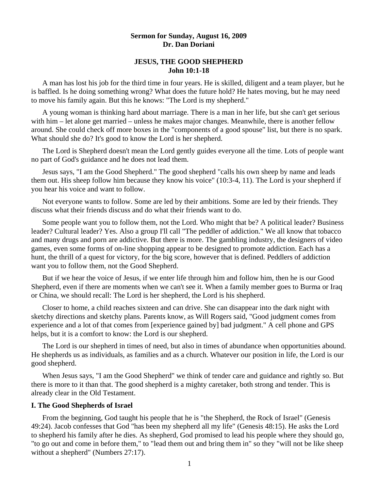## **Sermon for Sunday, August 16, 2009 Dr. Dan Doriani**

### **JESUS, THE GOOD SHEPHERD John 10:1-18**

 A man has lost his job for the third time in four years. He is skilled, diligent and a team player, but he is baffled. Is he doing something wrong? What does the future hold? He hates moving, but he may need to move his family again. But this he knows: "The Lord is my shepherd."

 A young woman is thinking hard about marriage. There is a man in her life, but she can't get serious with him – let alone get married – unless he makes major changes. Meanwhile, there is another fellow around. She could check off more boxes in the "components of a good spouse" list, but there is no spark. What should she do? It's good to know the Lord is her shepherd.

 The Lord is Shepherd doesn't mean the Lord gently guides everyone all the time. Lots of people want no part of God's guidance and he does not lead them.

 Jesus says, "I am the Good Shepherd." The good shepherd "calls his own sheep by name and leads them out. His sheep follow him because they know his voice" (10:3-4, 11). The Lord is your shepherd if you hear his voice and want to follow.

 Not everyone wants to follow. Some are led by their ambitions. Some are led by their friends. They discuss what their friends discuss and do what their friends want to do.

 Some people want you to follow them, not the Lord. Who might that be? A political leader? Business leader? Cultural leader? Yes. Also a group I'll call "The peddler of addiction." We all know that tobacco and many drugs and porn are addictive. But there is more. The gambling industry, the designers of video games, even some forms of on-line shopping appear to be designed to promote addiction. Each has a hunt, the thrill of a quest for victory, for the big score, however that is defined. Peddlers of addiction want you to follow them, not the Good Shepherd.

 But if we hear the voice of Jesus, if we enter life through him and follow him, then he is our Good Shepherd, even if there are moments when we can't see it. When a family member goes to Burma or Iraq or China, we should recall: The Lord is her shepherd, the Lord is his shepherd.

 Closer to home, a child reaches sixteen and can drive. She can disappear into the dark night with sketchy directions and sketchy plans. Parents know, as Will Rogers said, "Good judgment comes from experience and a lot of that comes from [experience gained by] bad judgment." A cell phone and GPS helps, but it is a comfort to know: the Lord is our shepherd.

 The Lord is our shepherd in times of need, but also in times of abundance when opportunities abound. He shepherds us as individuals, as families and as a church. Whatever our position in life, the Lord is our good shepherd.

 When Jesus says, "I am the Good Shepherd" we think of tender care and guidance and rightly so. But there is more to it than that. The good shepherd is a mighty caretaker, both strong and tender. This is already clear in the Old Testament.

#### **I. The Good Shepherds of Israel**

From the beginning, God taught his people that he is "the Shepherd, the Rock of Israel" (Genesis 49:24). Jacob confesses that God "has been my shepherd all my life" (Genesis 48:15). He asks the Lord to shepherd his family after he dies. As shepherd, God promised to lead his people where they should go, "to go out and come in before them," to "lead them out and bring them in" so they "will not be like sheep without a shepherd" (Numbers 27:17).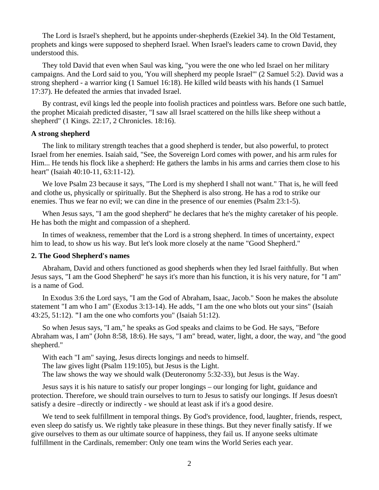The Lord is Israel's shepherd, but he appoints under-shepherds (Ezekiel 34). In the Old Testament, prophets and kings were supposed to shepherd Israel. When Israel's leaders came to crown David, they understood this.

 They told David that even when Saul was king, "you were the one who led Israel on her military campaigns. And the Lord said to you, 'You will shepherd my people Israel'" (2 Samuel 5:2). David was a strong shepherd - a warrior king (1 Samuel 16:18). He killed wild beasts with his hands (1 Samuel 17:37). He defeated the armies that invaded Israel.

 By contrast, evil kings led the people into foolish practices and pointless wars. Before one such battle, the prophet Micaiah predicted disaster, "I saw all Israel scattered on the hills like sheep without a shepherd" (1 Kings. 22:17, 2 Chronicles. 18:16).

#### **A strong shepherd**

The link to military strength teaches that a good shepherd is tender, but also powerful, to protect Israel from her enemies. Isaiah said, "See, the Sovereign Lord comes with power, and his arm rules for Him... He tends his flock like a shepherd: He gathers the lambs in his arms and carries them close to his heart" (Isaiah 40:10-11, 63:11-12).

We love Psalm 23 because it says, "The Lord is my shepherd I shall not want." That is, he will feed and clothe us, physically or spiritually. But the Shepherd is also strong. He has a rod to strike our enemies. Thus we fear no evil; we can dine in the presence of our enemies (Psalm 23:1-5).

 When Jesus says, "I am the good shepherd" he declares that he's the mighty caretaker of his people. He has both the might and compassion of a shepherd.

In times of weakness, remember that the Lord is a strong shepherd. In times of uncertainty, expect him to lead, to show us his way. But let's look more closely at the name "Good Shepherd."

#### **2. The Good Shepherd's names**

Abraham, David and others functioned as good shepherds when they led Israel faithfully. But when Jesus says, "I am the Good Shepherd" he says it's more than his function, it is his very nature, for "I am" is a name of God.

 In Exodus 3:6 the Lord says, "I am the God of Abraham, Isaac, Jacob." Soon he makes the absolute statement "I am who I am" (Exodus 3:13-14). He adds, "I am the one who blots out your sins" (Isaiah 43:25, 51:12). **"**I am the one who comforts you" (Isaiah 51:12).

 So when Jesus says, "I am," he speaks as God speaks and claims to be God. He says, "Before Abraham was, I am" (John 8:58, 18:6). He says, "I am" bread, water, light, a door, the way, and "the good shepherd."

 With each "I am" saying, Jesus directs longings and needs to himself. The law gives light (Psalm 119:105), but Jesus is the Light. The law shows the way we should walk (Deuteronomy 5:32-33), but Jesus is the Way.

 Jesus says it is his nature to satisfy our proper longings – our longing for light, guidance and protection. Therefore, we should train ourselves to turn to Jesus to satisfy our longings. If Jesus doesn't satisfy a desire –directly or indirectly - we should at least ask if it's a good desire.

 We tend to seek fulfillment in temporal things. By God's providence, food, laughter, friends, respect, even sleep do satisfy us. We rightly take pleasure in these things. But they never finally satisfy. If we give ourselves to them as our ultimate source of happiness, they fail us. If anyone seeks ultimate fulfillment in the Cardinals, remember: Only one team wins the World Series each year.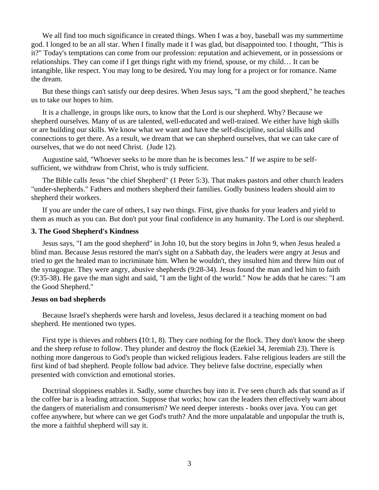We all find too much significance in created things. When I was a boy, baseball was my summertime god. I longed to be an all star. When I finally made it I was glad, but disappointed too. I thought, "This is it?" Today's temptations can come from our profession: reputation and achievement, or in possessions or relationships. They can come if I get things right with my friend, spouse, or my child… It can be intangible, like respect. You may long to be desired**.** You may long for a project or for romance. Name the dream.

 But these things can't satisfy our deep desires. When Jesus says, "I am the good shepherd," he teaches us to take our hopes to him.

 It is a challenge, in groups like ours, to know that the Lord is our shepherd. Why? Because we shepherd ourselves. Many of us are talented, well-educated and well-trained. We either have high skills or are building our skills. We know what we want and have the self-discipline, social skills and connections to get there. As a result, we dream that we can shepherd ourselves, that we can take care of ourselves, that we do not need Christ. (Jude 12).

 Augustine said, "Whoever seeks to be more than he is becomes less." If we aspire to be selfsufficient, we withdraw from Christ, who is truly sufficient.

 The Bible calls Jesus "the chief Shepherd" (1 Peter 5:3). That makes pastors and other church leaders "under-shepherds." Fathers and mothers shepherd their families. Godly business leaders should aim to shepherd their workers.

 If you are under the care of others, I say two things. First, give thanks for your leaders and yield to them as much as you can. But don't put your final confidence in any humanity. The Lord is our shepherd.

### **3. The Good Shepherd's Kindness**

Jesus says, "I am the good shepherd" in John 10, but the story begins in John 9, when Jesus healed a blind man. Because Jesus restored the man's sight on a Sabbath day, the leaders were angry at Jesus and tried to get the healed man to incriminate him. When he wouldn't, they insulted him and threw him out of the synagogue. They were angry, abusive shepherds (9:28-34). Jesus found the man and led him to faith (9:35-38). He gave the man sight and said, "I am the light of the world." Now he adds that he cares: "I am the Good Shepherd."

#### **Jesus on bad shepherds**

Because Israel's shepherds were harsh and loveless, Jesus declared it a teaching moment on bad shepherd. He mentioned two types.

 First type is thieves and robbers **(**10:1, 8). They care nothing for the flock. They don't know the sheep and the sheep refuse to follow. They plunder and destroy the flock (Ezekiel 34, Jeremiah 23). There is nothing more dangerous to God's people than wicked religious leaders. False religious leaders are still the first kind of bad shepherd. People follow bad advice. They believe false doctrine, especially when presented with conviction and emotional stories.

 Doctrinal sloppiness enables it. Sadly, some churches buy into it. I've seen church ads that sound as if the coffee bar is a leading attraction. Suppose that works; how can the leaders then effectively warn about the dangers of materialism and consumerism? We need deeper interests - books over java. You can get coffee anywhere, but where can we get God's truth? And the more unpalatable and unpopular the truth is, the more a faithful shepherd will say it.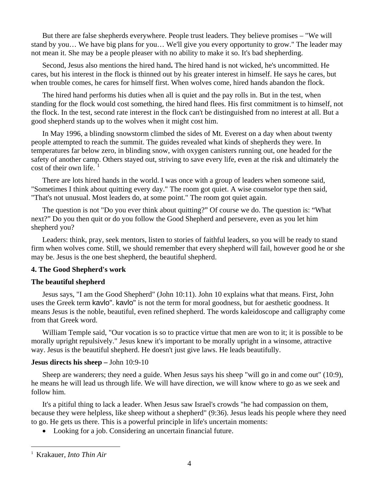But there are false shepherds everywhere. People trust leaders. They believe promises – "We will stand by you… We have big plans for you… We'll give you every opportunity to grow." The leader may not mean it. She may be a people pleaser with no ability to make it so. It's bad shepherding.

 Second, Jesus also mentions the hired hand**.** The hired hand is not wicked, he's uncommitted. He cares, but his interest in the flock is thinned out by his greater interest in himself. He says he cares, but when trouble comes, he cares for himself first. When wolves come, hired hands abandon the flock.

 The hired hand performs his duties when all is quiet and the pay rolls in. But in the test, when standing for the flock would cost something, the hired hand flees. His first commitment is to himself, not the flock. In the test, second rate interest in the flock can't be distinguished from no interest at all. But a good shepherd stands up to the wolves when it might cost him.

 In May 1996, a blinding snowstorm climbed the sides of Mt. Everest on a day when about twenty people attempted to reach the summit. The guides revealed what kinds of shepherds they were. In temperatures far below zero, in blinding snow, with oxygen canisters running out, one headed for the safety of another camp. Others stayed out, striving to save every life, even at the risk and ultimately the cost of their own life.  $\frac{1}{2}$  $\frac{1}{2}$  $\frac{1}{2}$ 

 There are lots hired hands in the world. I was once with a group of leaders when someone said, "Sometimes I think about quitting every day." The room got quiet. A wise counselor type then said, "That's not unusual. Most leaders do, at some point." The room got quiet again.

 The question is not "Do you ever think about quitting?" Of course we do. The question is: "What next?" Do you then quit or do you follow the Good Shepherd and persevere, even as you let him shepherd you?

 Leaders: think, pray, seek mentors, listen to stories of faithful leaders, so you will be ready to stand firm when wolves come. Still, we should remember that every shepherd will fail, however good he or she may be. Jesus is the one best shepherd, the beautiful shepherd.

# **4. The Good Shepherd's work**

# **The beautiful shepherd**

 Jesus says, "I am the Good Shepherd" (John 10:11). John 10 explains what that means. First, John uses the Greek term kavlo". kavlo" is not the term for moral goodness, but for aesthetic goodness. It means Jesus is the noble, beautiful, even refined shepherd. The words kaleidoscope and calligraphy come from that Greek word.

William Temple said, "Our vocation is so to practice virtue that men are won to it; it is possible to be morally upright repulsively." Jesus knew it's important to be morally upright in a winsome, attractive way. Jesus is the beautiful shepherd. He doesn't just give laws. He leads beautifully.

# **Jesus directs his sheep –** John 10:9-10

 Sheep are wanderers; they need a guide. When Jesus says his sheep "will go in and come out" (10:9), he means he will lead us through life. We will have direction, we will know where to go as we seek and follow him.

 It's a pitiful thing to lack a leader. When Jesus saw Israel's crowds "he had compassion on them, because they were helpless, like sheep without a shepherd" (9:36). Jesus leads his people where they need to go. He gets us there. This is a powerful principle in life's uncertain moments:

Looking for a job. Considering an uncertain financial future.

 $\overline{a}$ 

<span id="page-3-0"></span><sup>1</sup> Krakauer, *Into Thin Air*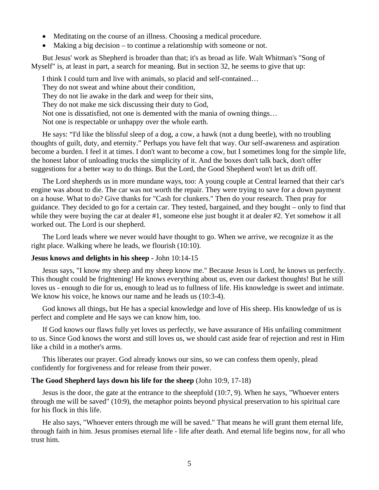- Meditating on the course of an illness. Choosing a medical procedure.
- Making a big decision to continue a relationship with someone or not.

 But Jesus' work as Shepherd is broader than that; it's as broad as life. Walt Whitman's "Song of Myself" is, at least in part, a search for meaning. But in section 32, he seems to give that up:

 I think I could turn and live with animals, so placid and self-contained… They do not sweat and whine about their condition, They do not lie awake in the dark and weep for their sins, They do not make me sick discussing their duty to God, Not one is dissatisfied, not one is demented with the mania of owning things… Not one is respectable or unhappy over the whole earth.

 He says: "I'd like the blissful sleep of a dog, a cow, a hawk (not a dung beetle), with no troubling thoughts of guilt, duty, and eternity." Perhaps you have felt that way. Our self-awareness and aspiration become a burden. I feel it at times. I don't want to become a cow, but I sometimes long for the simple life, the honest labor of unloading trucks the simplicity of it. And the boxes don't talk back, don't offer suggestions for a better way to do things. But the Lord, the Good Shepherd won't let us drift off.

 The Lord shepherds us in more mundane ways, too: A young couple at Central learned that their car's engine was about to die. The car was not worth the repair. They were trying to save for a down payment on a house. What to do? Give thanks for "Cash for clunkers." Then do your research. Then pray for guidance. They decided to go for a certain car. They tested, bargained, and they bought – only to find that while they were buying the car at dealer #1, someone else just bought it at dealer #2. Yet somehow it all worked out. The Lord is our shepherd.

 The Lord leads where we never would have thought to go. When we arrive, we recognize it as the right place. Walking where he leads, we flourish (10:10).

### **Jesus knows and delights in his sheep -** John 10:14-15

 Jesus says, "I know my sheep and my sheep know me." Because Jesus is Lord, he knows us perfectly. This thought could be frightening! He knows everything about us, even our darkest thoughts! But he still loves us - enough to die for us, enough to lead us to fullness of life. His knowledge is sweet and intimate. We know his voice, he knows our name and he leads us  $(10:3-4)$ .

 God knows all things, but He has a special knowledge and love of His sheep. His knowledge of us is perfect and complete and He says we can know him, too.

 If God knows our flaws fully yet loves us perfectly, we have assurance of His unfailing commitment to us. Since God knows the worst and still loves us, we should cast aside fear of rejection and rest in Him like a child in a mother's arms.

 This liberates our prayer. God already knows our sins, so we can confess them openly, plead confidently for forgiveness and for release from their power.

### **The Good Shepherd lays down his life for the sheep** (John 10:9, 17-18)

 Jesus is the door, the gate at the entrance to the sheepfold (10:7, 9). When he says, "Whoever enters through me will be saved" (10:9), the metaphor points beyond physical preservation to his spiritual care for his flock in this life.

 He also says, "Whoever enters through me will be saved." That means he will grant them eternal life, through faith in him. Jesus promises eternal life - life after death. And eternal life begins now, for all who trust him.